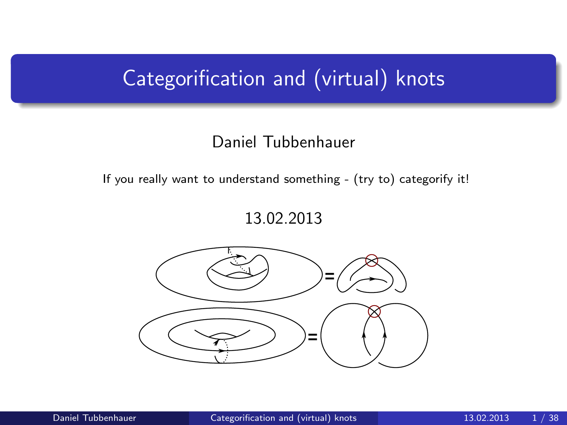# Categorification and (virtual) knots

#### Daniel Tubbenhauer

If you really want to understand something - (try to) categorify it!

<span id="page-0-0"></span>13.02.2013

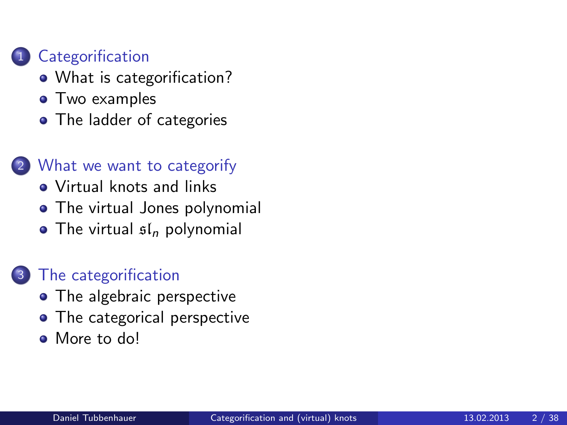### **[Categorification](#page-1-0)**

- [What is categorification?](#page-1-0)
- [Two examples](#page-3-0)
- [The ladder of categories](#page-9-0)

### 2 [What we want to categorify](#page-11-0)

- [Virtual knots and links](#page-11-0)
- [The virtual Jones polynomial](#page-16-0)
- $\bullet$  [The virtual](#page-19-0)  $\mathfrak{sl}_n$  polynomial

## [The categorification](#page-21-0)

- [The algebraic perspective](#page-21-0)
- [The categorical perspective](#page-26-0)
- <span id="page-1-0"></span>• [More to do!](#page-44-0)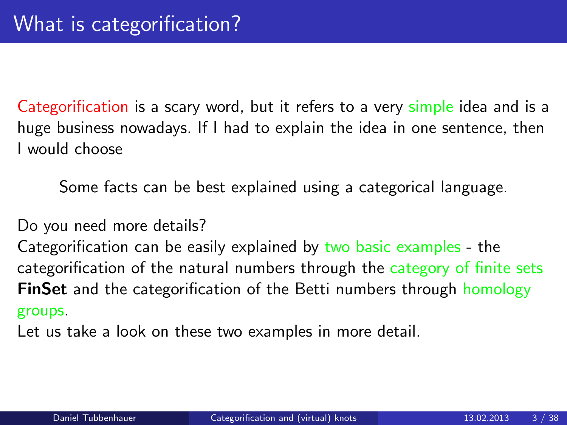Categorification is a scary word, but it refers to a very simple idea and is a huge business nowadays. If I had to explain the idea in one sentence, then I would choose

Some facts can be best explained using a categorical language.

Do you need more details?

Categorification can be easily explained by two basic examples - the categorification of the natural numbers through the category of finite sets **FinSet** and the categorification of the Betti numbers through homology groups.

Let us take a look on these two examples in more detail.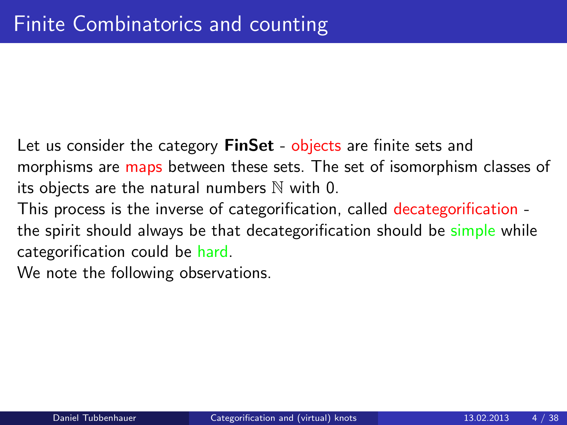Let us consider the category **FinSet** - objects are finite sets and morphisms are maps between these sets. The set of isomorphism classes of its objects are the natural numbers  $\mathbb N$  with 0.

This process is the inverse of categorification, called decategorification the spirit should always be that decategorification should be simple while categorification could be hard.

<span id="page-3-0"></span>We note the following observations.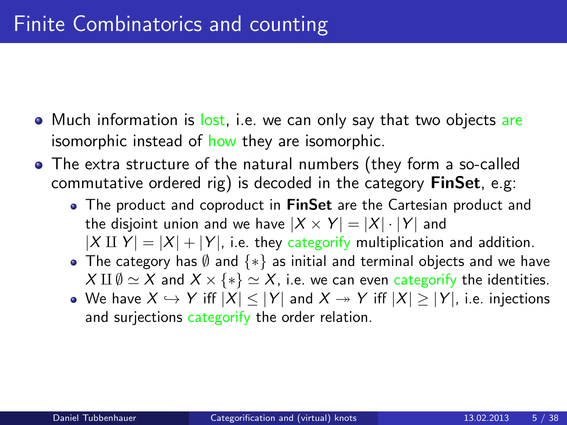- Much information is lost, i.e. we can only say that two objects are isomorphic instead of how they are isomorphic.
- The extra structure of the natural numbers (they form a so-called commutative ordered rig) is decoded in the category  $\mathsf{Fin}\mathsf{Set}$ , e.g:
	- The product and coproduct in FinSet are the Cartesian product and the disjoint union and we have  $|X \times Y| = |X| \cdot |Y|$  and  $|X \amalg Y| = |X| + |Y|$ , i.e. they categorify multiplication and addition.
	- The category has  $\emptyset$  and  $\{*\}$  as initial and terminal objects and we have  $X \amalg \emptyset \simeq X$  and  $X \times \{*\} \simeq X$ , i.e. we can even categorify the identities.
	- We have  $X \hookrightarrow Y$  iff  $|X| \leq |Y|$  and  $X \twoheadrightarrow Y$  iff  $|X| \geq |Y|$ , i.e. injections and surjections categorify the order relation.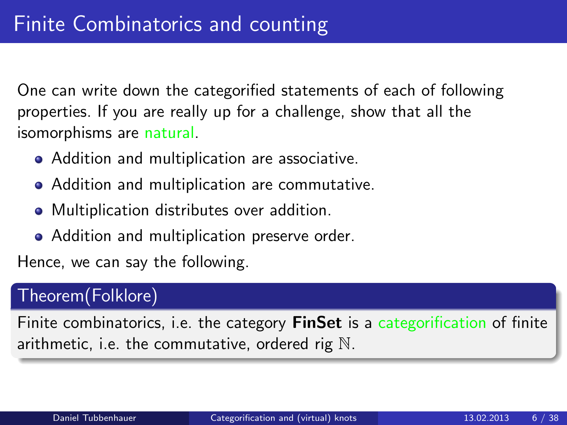One can write down the categorified statements of each of following properties. If you are really up for a challenge, show that all the isomorphisms are natural.

- Addition and multiplication are associative.
- Addition and multiplication are commutative.
- Multiplication distributes over addition.
- Addition and multiplication preserve order.

Hence, we can say the following.

### Theorem(Folklore)

Finite combinatorics, i.e. the category **FinSet** is a categorification of finite arithmetic, i.e. the commutative, ordered rig N.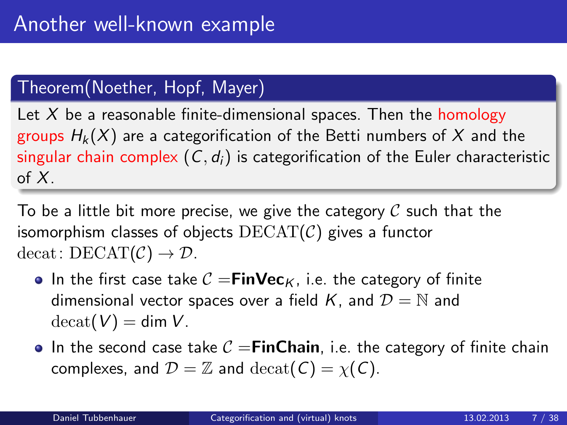## Theorem(Noether, Hopf, Mayer)

Let  $X$  be a reasonable finite-dimensional spaces. Then the homology groups  $H_k(X)$  are a categorification of the Betti numbers of X and the singular chain complex  $(C, d_i)$  is categorification of the Euler characteristic of  $X$ .

To be a little bit more precise, we give the category  $\mathcal C$  such that the isomorphism classes of objects  $DECAT(\mathcal{C})$  gives a functor decat:  $DECAT(\mathcal{C}) \rightarrow \mathcal{D}$ .

- In the first case take  $C = FinVec<sub>K</sub>$ , i.e. the category of finite dimensional vector spaces over a field K, and  $\mathcal{D} = \mathbb{N}$  and  $\text{decat}(V) = \text{dim }V$ .
- In the second case take  $C =$ FinChain, i.e. the category of finite chain complexes, and  $\mathcal{D} = \mathbb{Z}$  and  $\text{decat}(C) = \chi(C)$ .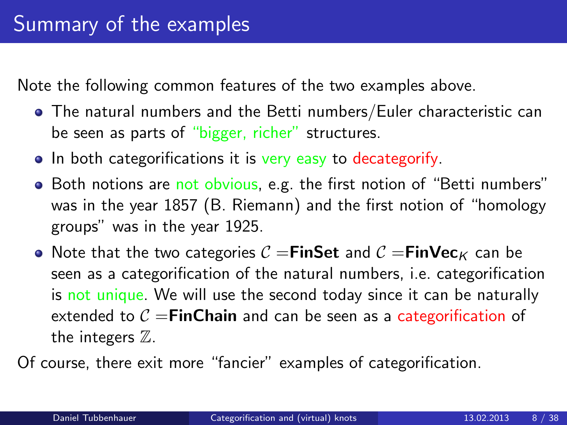Note the following common features of the two examples above.

- The natural numbers and the Betti numbers/Euler characteristic can be seen as parts of "bigger, richer" structures.
- In both categorifications it is very easy to decategorify.
- Both notions are not obvious, e.g. the first notion of "Betti numbers" was in the year 1857 (B. Riemann) and the first notion of "homology groups" was in the year 1925.
- Note that the two categories  $C =$ FinSet and  $C =$ FinVec<sub>K</sub> can be seen as a categorification of the natural numbers, i.e. categorification is not unique. We will use the second today since it can be naturally extended to  $C = FinChain$  and can be seen as a categorification of the integers  $\mathbb Z$ .

Of course, there exit more "fancier" examples of categorification.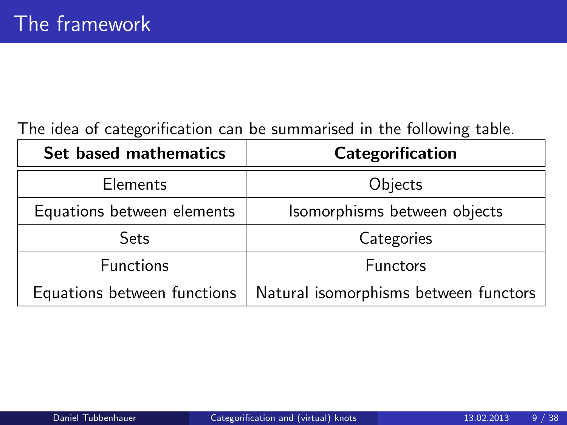### The idea of categorification can be summarised in the following table.

| Set based mathematics       | Categorification                      |  |  |
|-----------------------------|---------------------------------------|--|--|
| <b>Elements</b>             | Objects                               |  |  |
| Equations between elements  | Isomorphisms between objects          |  |  |
| <b>Sets</b>                 | Categories                            |  |  |
| <b>Functions</b>            | <b>Functors</b>                       |  |  |
| Equations between functions | Natural isomorphisms between functors |  |  |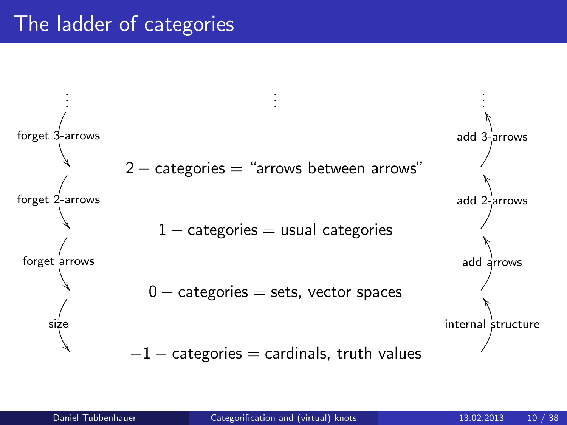## The ladder of categories

<span id="page-9-0"></span>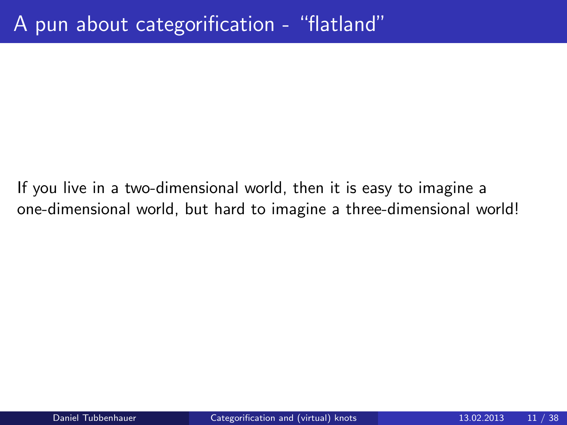If you live in a two-dimensional world, then it is easy to imagine a one-dimensional world, but hard to imagine a three-dimensional world!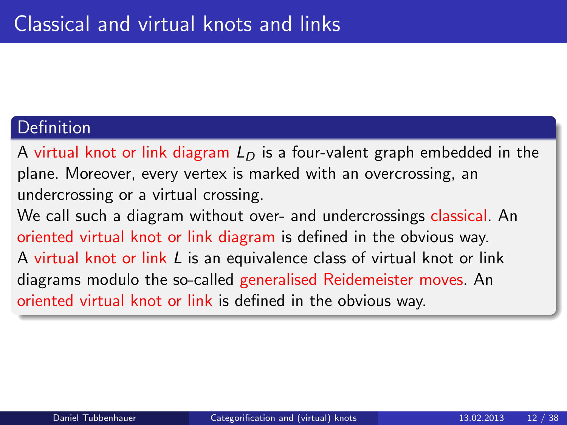#### Definition

A virtual knot or link diagram  $L<sub>D</sub>$  is a four-valent graph embedded in the plane. Moreover, every vertex is marked with an overcrossing, an undercrossing or a virtual crossing.

<span id="page-11-0"></span>We call such a diagram without over- and undercrossings classical. An oriented virtual knot or link diagram is defined in the obvious way. A virtual knot or link L is an equivalence class of virtual knot or link diagrams modulo the so-called generalised Reidemeister moves. An oriented virtual knot or link is defined in the obvious way.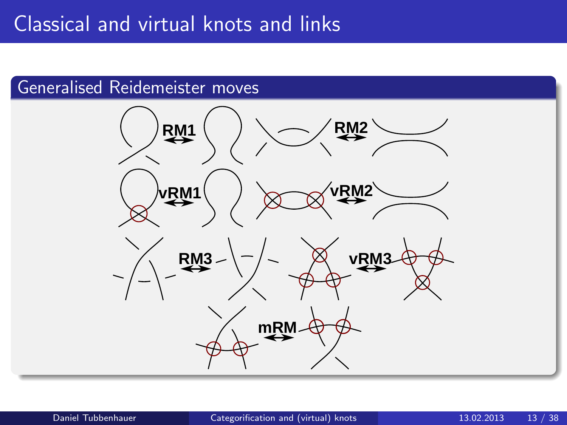#### Generalised Reidemeister moves

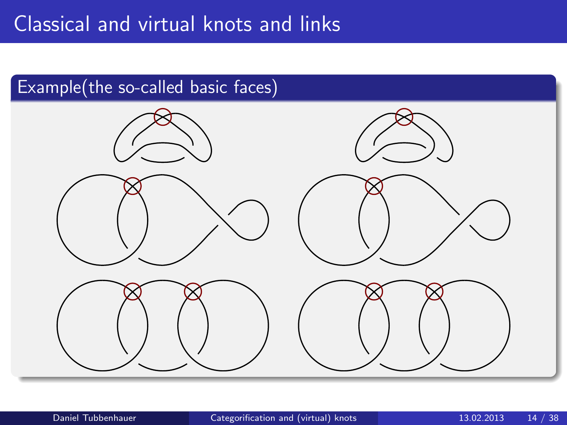## Classical and virtual knots and links



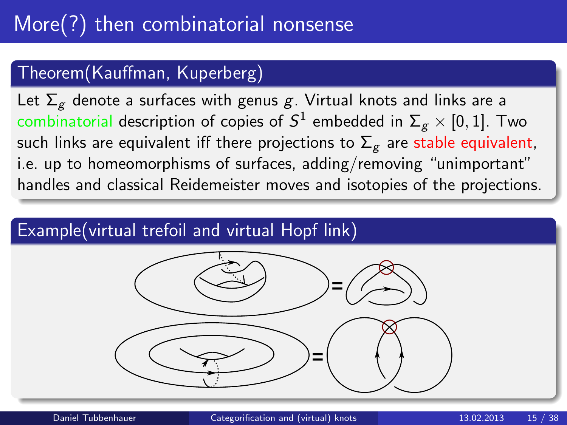## Theorem(Kauffman, Kuperberg)

Let  $\Sigma_g$  denote a surfaces with genus g. Virtual knots and links are a combinatorial description of copies of  $S^1$  embedded in  $\Sigma_g \times [0,1]$ . Two such links are equivalent iff there projections to  $\Sigma_g$  are stable equivalent, i.e. up to homeomorphisms of surfaces, adding/removing "unimportant" handles and classical Reidemeister moves and isotopies of the projections.

### Example(virtual trefoil and virtual Hopf link)

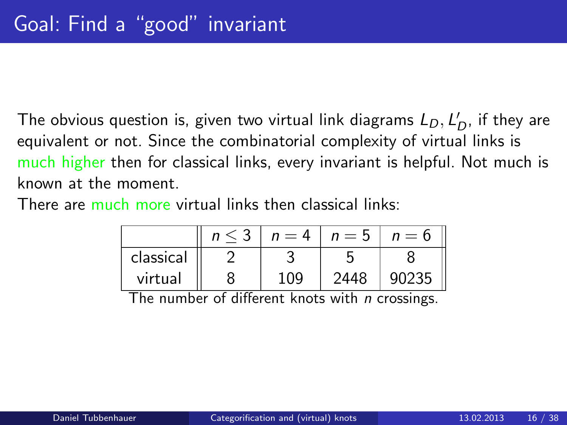The obvious question is, given two virtual link diagrams  $L_D, L_D^\prime$ , if they are equivalent or not. Since the combinatorial complexity of virtual links is much higher then for classical links, every invariant is helpful. Not much is known at the moment.

There are much more virtual links then classical links:

|           | $n=4$ | $n = 5$ | $n=6$ |
|-----------|-------|---------|-------|
| classical |       |         |       |
| virtual   | 109   | 2448    |       |

The number of different knots with *n* crossings.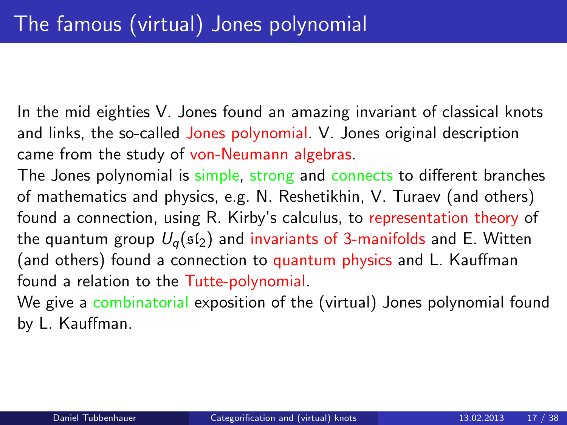In the mid eighties V. Jones found an amazing invariant of classical knots and links, the so-called Jones polynomial. V. Jones original description came from the study of von-Neumann algebras.

The Jones polynomial is simple, strong and connects to different branches of mathematics and physics, e.g. N. Reshetikhin, V. Turaev (and others) found a connection, using R. Kirby's calculus, to representation theory of the quantum group  $U_q(\mathfrak{sl}_2)$  and invariants of 3-manifolds and E. Witten (and others) found a connection to quantum physics and L. Kauffman found a relation to the Tutte-polynomial.

<span id="page-16-0"></span>We give a combinatorial exposition of the (virtual) Jones polynomial found by L. Kauffman.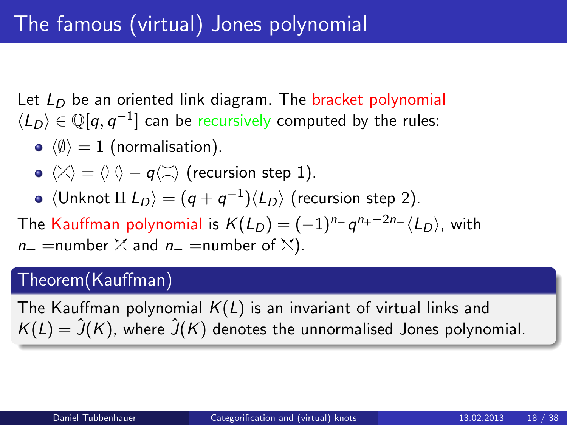Let  $L<sub>D</sub>$  be an oriented link diagram. The bracket polynomial  $\langle L_D \rangle \in \mathbb Q[q, q^{-1}]$  can be recursively computed by the rules:

- $\langle \emptyset \rangle = 1$  (normalisation).
- $\langle \rangle \langle \rangle = \langle \rangle \langle \rangle q \langle \rangle \rangle$  (recursion step 1).
- $\langle$ Unknot II  $L_D \rangle = (q + q^{-1}) \langle L_D \rangle$  (recursion step 2).

The Kauffman polynomial is  $K(L_D)=(-1)^{n_-}\hspace{0.1em} q^{n_+-2n_-}\langle L_D\rangle$ , with  $n_{+}$  =number  $\times$  and  $n_{-}$  =number of  $\times$ ).

### Theorem(Kauffman)

The Kauffman polynomial  $K(L)$  is an invariant of virtual links and  $K(L) = \hat{J}(K)$ , where  $\hat{J}(K)$  denotes the unnormalised Jones polynomial.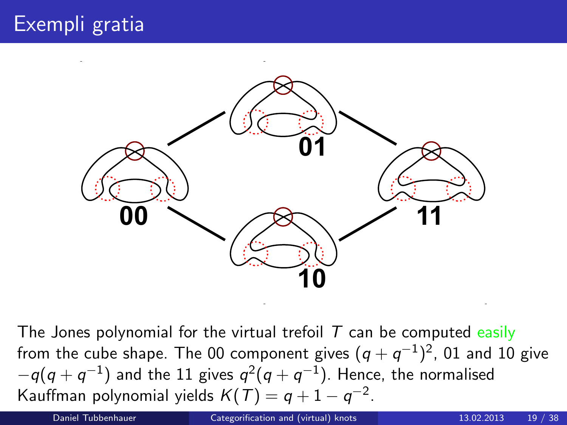

The Jones polynomial for the virtual trefoil  $T$  can be computed easily from the cube shape. The 00 component gives  $(q+q^{-1})^2$ , 01 and 10 give  $-q(q+q^{-1})$  and the 11 gives  $q^2(q+q^{-1})$ . Hence, the normalised Kauffman polynomial yields  $K(T)=q+1-q^{-2}.$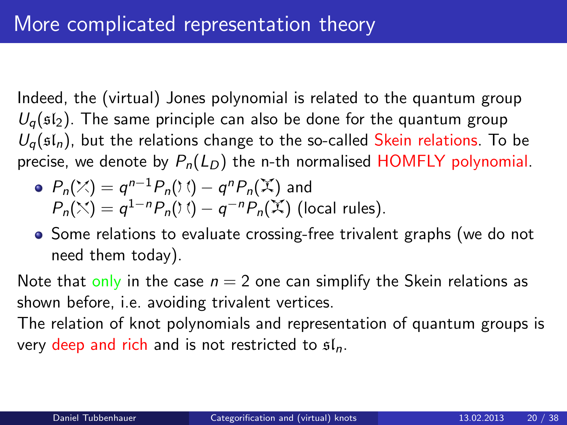Indeed, the (virtual) Jones polynomial is related to the quantum group  $U_q$ ( $sI_2$ ). The same principle can also be done for the quantum group  $U_q(\mathfrak{sl}_n)$ , but the relations change to the so-called Skein relations. To be precise, we denote by  $P_n(L_D)$  the n-th normalised HOMFLY polynomial.

• 
$$
P_n(\mathbb{X}) = q^{n-1} P_n(\mathcal{X}) - q^n P_n(\mathbb{X})
$$
 and  
\n $P_n(\mathbb{X}) = q^{1-n} P_n(\mathcal{X}) - q^{-n} P_n(\mathbb{X})$  (local rules).

• Some relations to evaluate crossing-free trivalent graphs (we do not need them today).

Note that only in the case  $n = 2$  one can simplify the Skein relations as shown before, i.e. avoiding trivalent vertices.

<span id="page-19-0"></span>The relation of knot polynomials and representation of quantum groups is very deep and rich and is not restricted to  $\mathfrak{sl}_n$ .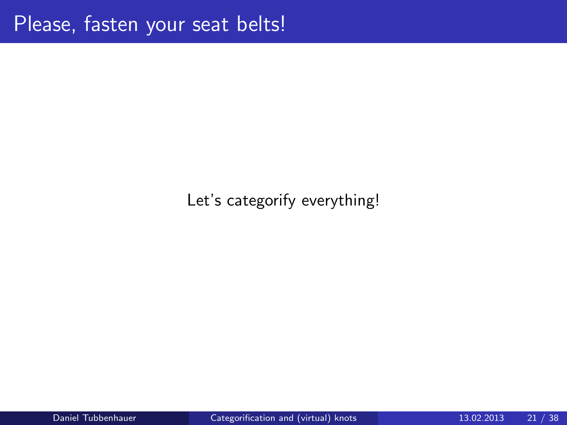### Let's categorify everything!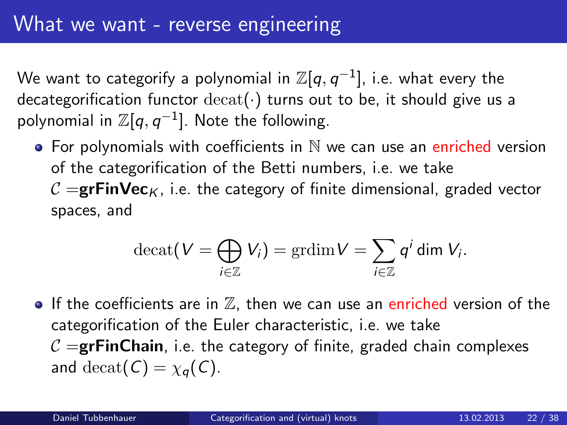We want to categorify a polynomial in  $\mathbb{Z}[q,q^{-1}]$ , i.e. what every the decategorification functor  $\text{decat}(\cdot)$  turns out to be, it should give us a polynomial in  $\mathbb{Z}[q,q^{-1}]$ . Note the following.

 $\bullet$  For polynomials with coefficients in  $\mathbb N$  we can use an enriched version of the categorification of the Betti numbers, i.e. we take  $\mathcal{C} =$ **grFinVec**<sub>K</sub>, i.e. the category of finite dimensional, graded vector spaces, and

<span id="page-21-0"></span>
$$
\operatorname{decat}(V = \bigoplus_{i \in \mathbb{Z}} V_i) = \operatorname{grdim} V = \sum_{i \in \mathbb{Z}} q^i \operatorname{dim} V_i.
$$

If the coefficients are in  $\mathbb{Z}$ , then we can use an enriched version of the categorification of the Euler characteristic, i.e. we take  $\mathcal{C} =$ **grFinChain**, i.e. the category of finite, graded chain complexes and decat( $C$ ) =  $\chi_q(C)$ .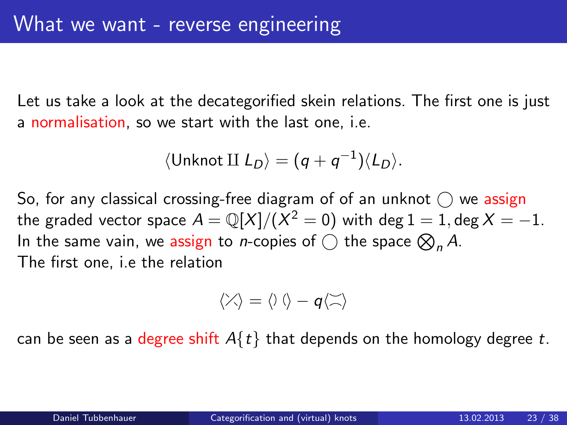Let us take a look at the decategorified skein relations. The first one is just a normalisation, so we start with the last one, i.e.

$$
\langle \text{Unknown II } L_D \rangle = (q + q^{-1}) \langle L_D \rangle.
$$

So, for any classical crossing-free diagram of of an unknot  $\bigcap$  we assign the graded vector space  $A={\mathbb Q}[X]/(X^2=0)$  with  $\deg 1=1, \deg X=-1.$ In the same vain, we assign to *n*-copies of  $\bigcirc$  the space  $\bigotimes_n A$ . The first one, i.e the relation

$$
\langle \mathcal{X} \rangle = \langle \mathcal{Y} \rangle - q \langle \mathcal{Z} \rangle
$$

can be seen as a degree shift  $A\{t\}$  that depends on the homology degree t.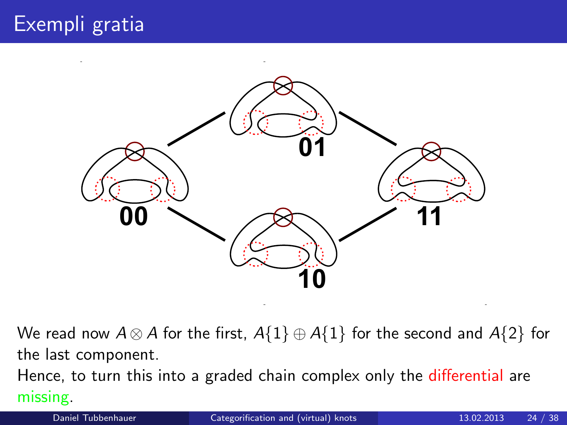

We read now  $A \otimes A$  for the first,  $A\{1\} \oplus A\{1\}$  for the second and  $A\{2\}$  for the last component.

Hence, to turn this into a graded chain complex only the differential are missing.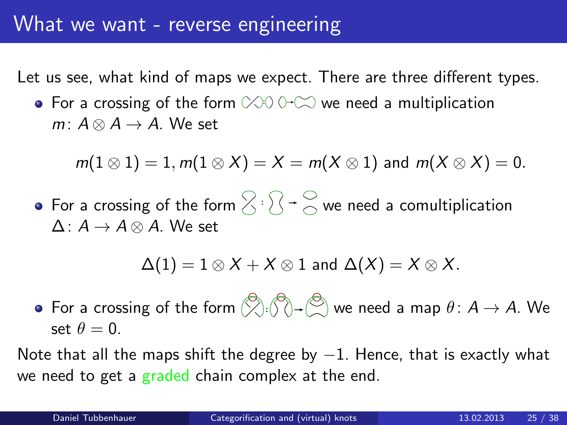Let us see, what kind of maps we expect. There are three different types.

For a crossing of the form  $\otimes$  0  $\hookrightarrow$  we need a multiplication  $m: A \otimes A \rightarrow A$ . We set

$$
m(1\otimes 1)=1, m(1\otimes X)=X=m(X\otimes 1) \text{ and } m(X\otimes X)=0.
$$

For a crossing of the form  $\bigtriangledown$  <sup>:</sup>  $\bigtriangledown$  <sup>→</sup>  $\bigcirc$  we need a comultiplication  $\Delta: A \rightarrow A \otimes A$ . We set

 $\Delta(1) = 1 \otimes X + X \otimes 1$  and  $\Delta(X) = X \otimes X$ .

For a crossing of the form  $\left(\bigtimes\right): \left(\bigtimes\right) \to \left(\bigtimes\right)$  we need a map  $\theta \colon A \to A.$  We set  $\theta = 0$ .

Note that all the maps shift the degree by  $-1$ . Hence, that is exactly what we need to get a graded chain complex at the end.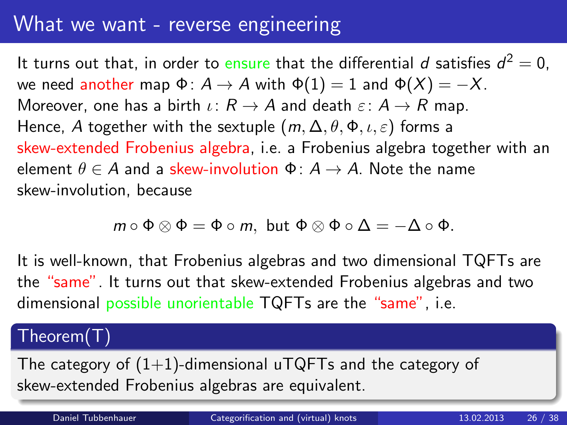## What we want - reverse engineering

It turns out that, in order to ensure that the differential  $d$  satisfies  $d^2=0$ , we need another map  $\Phi: A \to A$  with  $\Phi(1) = 1$  and  $\Phi(X) = -X$ . Moreover, one has a birth  $\iota: R \to A$  and death  $\varepsilon: A \to R$  map. Hence, A together with the sextuple  $(m, \Delta, \theta, \Phi, \iota, \varepsilon)$  forms a skew-extended Frobenius algebra, i.e. a Frobenius algebra together with an element  $\theta \in A$  and a skew-involution  $\Phi: A \rightarrow A$ . Note the name skew-involution, because

$$
m\circ\Phi\otimes\Phi=\Phi\circ m,\,\,\text{but}\,\,\Phi\otimes\Phi\circ\Delta=-\Delta\circ\Phi.
$$

It is well-known, that Frobenius algebras and two dimensional TQFTs are the "same". It turns out that skew-extended Frobenius algebras and two dimensional possible unorientable TQFTs are the "same", i.e.

#### Theorem(T)

The category of  $(1+1)$ -dimensional uTQFTs and the category of skew-extended Frobenius algebras are equivalent.

Daniel Tubbenhauer [Categorification and \(virtual\) knots](#page-0-0) 13.02.2013 26 / 38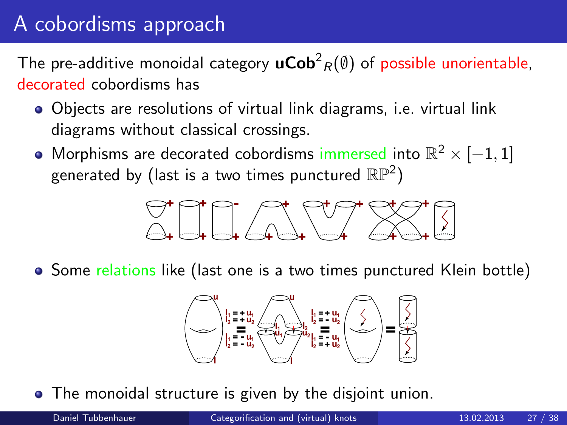# A cobordisms approach

The pre-additive monoidal category  $\mathsf{uCob}^2_R(\emptyset)$  of possible unorientable, decorated cobordisms has

- Objects are resolutions of virtual link diagrams, i.e. virtual link diagrams without classical crossings.
- Morphisms are decorated cobordisms immersed into  $\mathbb{R}^2 \times [-1,1]$ generated by (last is a two times punctured  $\mathbb{RP}^2)$



• Some relations like (last one is a two times punctured Klein bottle)

<span id="page-26-0"></span>

The monoidal structure is given by the disjoint union.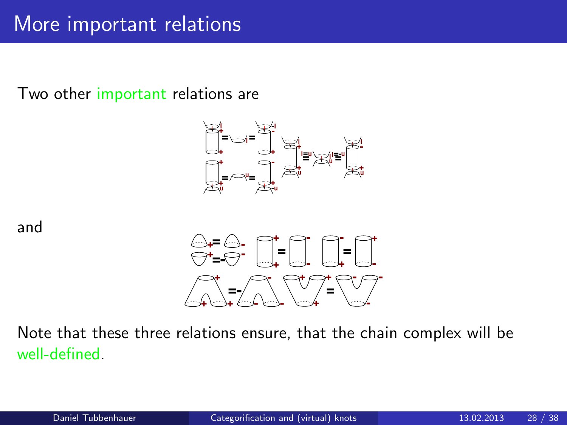Two other important relations are



and



Note that these three relations ensure, that the chain complex will be well-defined.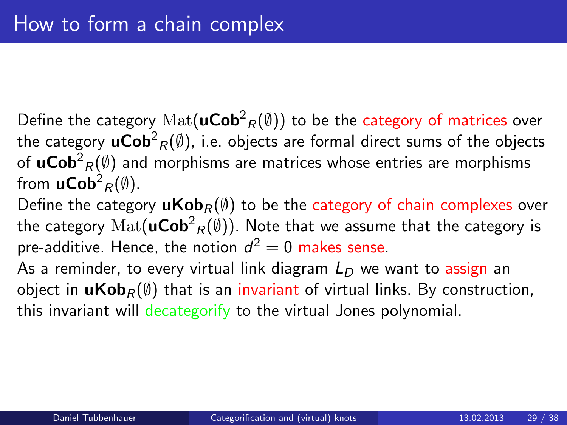Define the category  $\mathrm{Mat}(\mathsf{uCob}^2_R(\emptyset))$  to be the category of matrices over the category  $\mathsf{uCob}^2_R(\emptyset)$ , i.e. objects are formal direct sums of the objects of  $\mathsf{uCob}^2_R(\emptyset)$  and morphisms are matrices whose entries are morphisms from  $\mathsf{uCob}^2_R(\emptyset)$ .

Define the category  $uKob<sub>R</sub>( $\emptyset$ )$  to be the category of chain complexes over the category  $\mathrm{Mat}(\mathsf{uCob}^2_R(\emptyset))$ . Note that we assume that the category is pre-additive. Hence, the notion  $d^2=0$  makes sense.

As a reminder, to every virtual link diagram  $L<sub>D</sub>$  we want to assign an object in  $u\text{Kob}_R(\emptyset)$  that is an invariant of virtual links. By construction, this invariant will decategorify to the virtual Jones polynomial.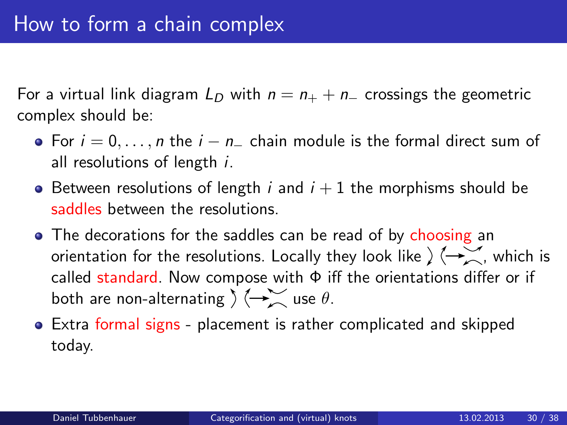For a virtual link diagram  $L_D$  with  $n = n_+ + n_-$  crossings the geometric complex should be:

- For  $i = 0, \ldots, n$  the  $i n$  chain module is the formal direct sum of all resolutions of length i.
- Between resolutions of length *i* and  $i + 1$  the morphisms should be saddles between the resolutions.
- The decorations for the saddles can be read of by choosing an orientation for the resolutions. Locally they look like  $\sum_{n=1}^{\infty}$ , which is called standard. Now compose with  $\Phi$  iff the orientations differ or if both are non-alternating  $\sum_{n=1}^{\infty}$  use  $\theta$ .
- Extra formal signs placement is rather complicated and skipped today.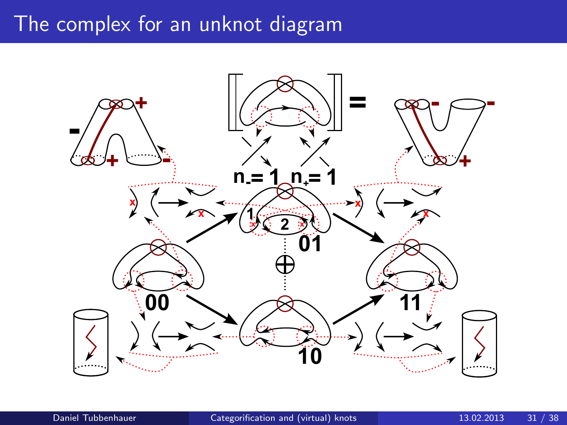## The complex for an unknot diagram

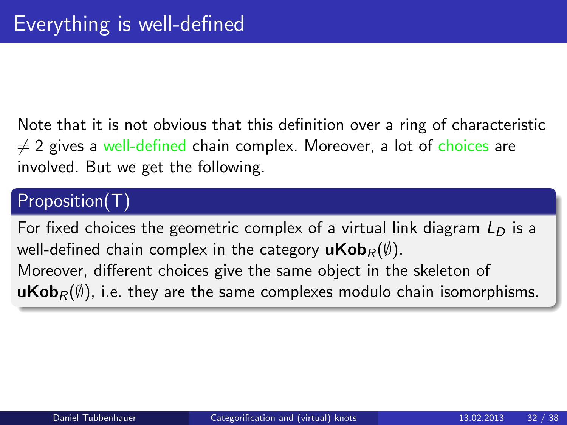Note that it is not obvious that this definition over a ring of characteristic  $\neq$  2 gives a well-defined chain complex. Moreover, a lot of choices are involved. But we get the following.

## Proposition(T)

For fixed choices the geometric complex of a virtual link diagram  $L<sub>D</sub>$  is a well-defined chain complex in the category  $uKob_R(\emptyset)$ .

Moreover, different choices give the same object in the skeleton of **uKob**<sub>R</sub> $(\emptyset)$ , i.e. they are the same complexes modulo chain isomorphisms.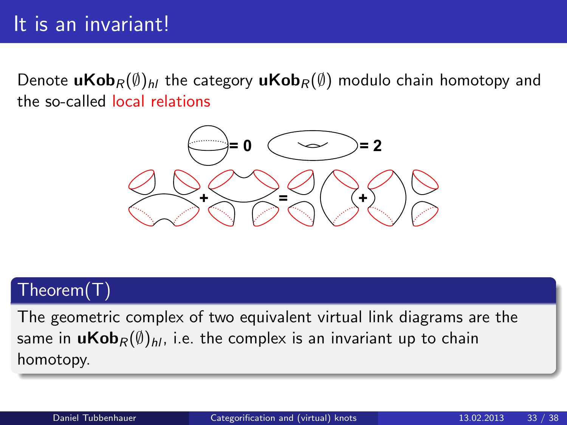Denote  $uKob_R(\emptyset)_{hl}$  the category  $uKob_R(\emptyset)$  modulo chain homotopy and the so-called local relations



### Theorem(T)

The geometric complex of two equivalent virtual link diagrams are the same in  $uKob_R(\emptyset)_{hl}$ , i.e. the complex is an invariant up to chain homotopy.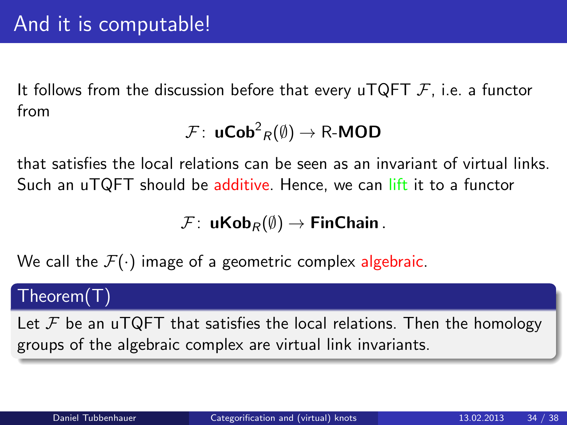It follows from the discussion before that every uTQFT  $\mathcal{F}$ , i.e. a functor from

$$
\mathcal{F} \colon \operatorname{\mathsf{uCob}}^2_R(\emptyset) \to \mathsf{R}\text{-}\mathsf{MOD}
$$

that satisfies the local relations can be seen as an invariant of virtual links. Such an uTQFT should be additive. Hence, we can lift it to a functor

 $\mathcal{F}: \mathbf{uKob}_{R}(\emptyset) \rightarrow \mathsf{FinChain}$ .

We call the  $\mathcal{F}(\cdot)$  image of a geometric complex algebraic.

#### Theorem(T)

Let  $\mathcal F$  be an uTQFT that satisfies the local relations. Then the homology groups of the algebraic complex are virtual link invariants.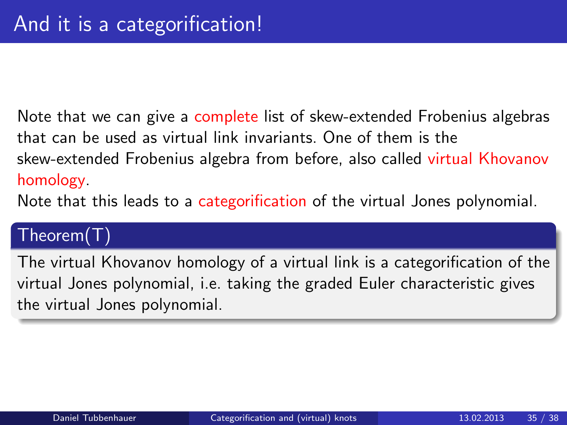Note that we can give a complete list of skew-extended Frobenius algebras that can be used as virtual link invariants. One of them is the skew-extended Frobenius algebra from before, also called virtual Khovanov homology.

Note that this leads to a categorification of the virtual Jones polynomial.

### Theorem(T)

The virtual Khovanov homology of a virtual link is a categorification of the virtual Jones polynomial, i.e. taking the graded Euler characteristic gives the virtual Jones polynomial.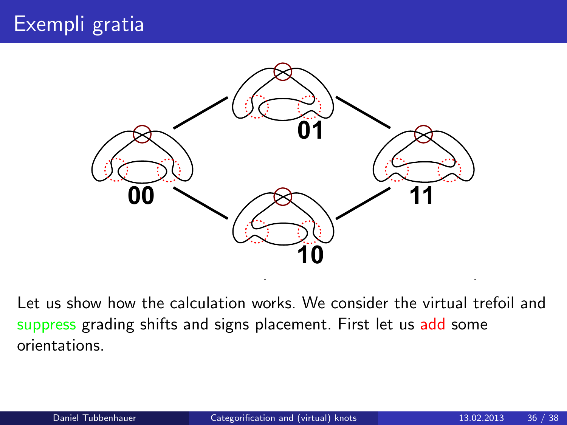

Let us show how the calculation works. We consider the virtual trefoil and suppress grading shifts and signs placement. First let us add some orientations.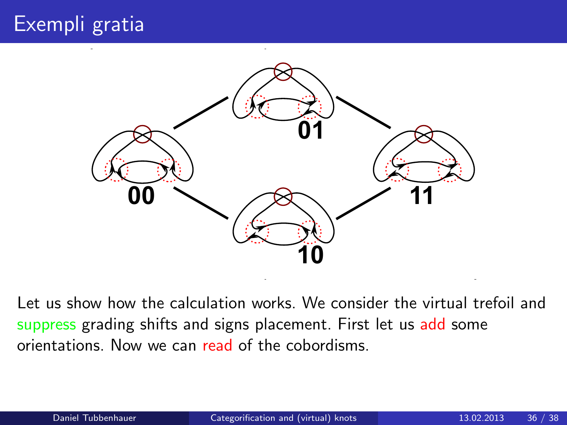

Let us show how the calculation works. We consider the virtual trefoil and suppress grading shifts and signs placement. First let us add some orientations. Now we can read of the cobordisms.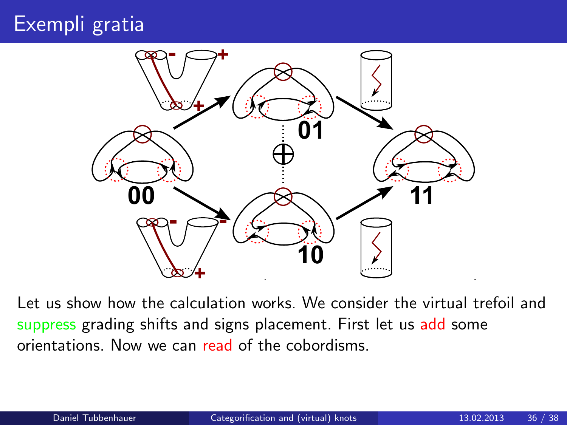

Let us show how the calculation works. We consider the virtual trefoil and suppress grading shifts and signs placement. First let us add some orientations. Now we can read of the cobordisms.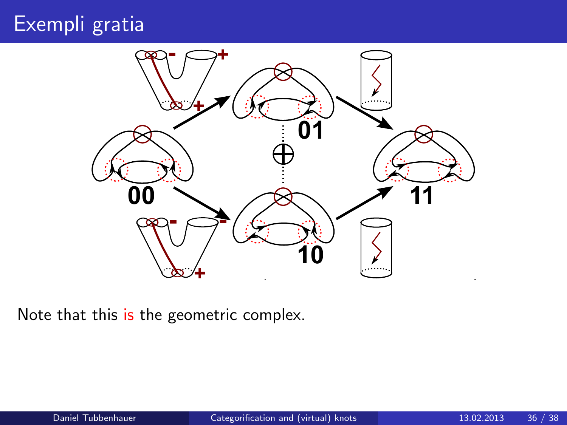

Note that this is the geometric complex.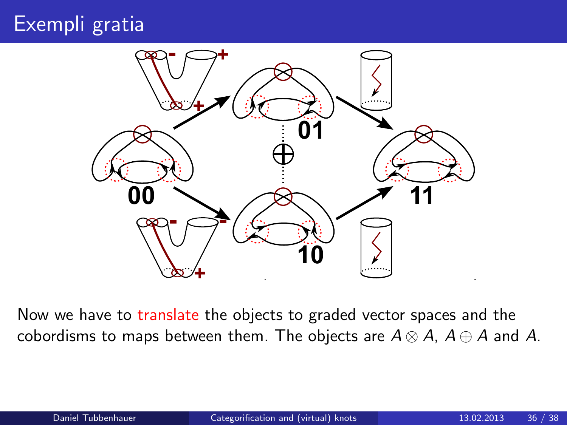

Now we have to translate the objects to graded vector spaces and the cobordisms to maps between them. The objects are  $A \otimes A$ ,  $A \oplus A$  and A.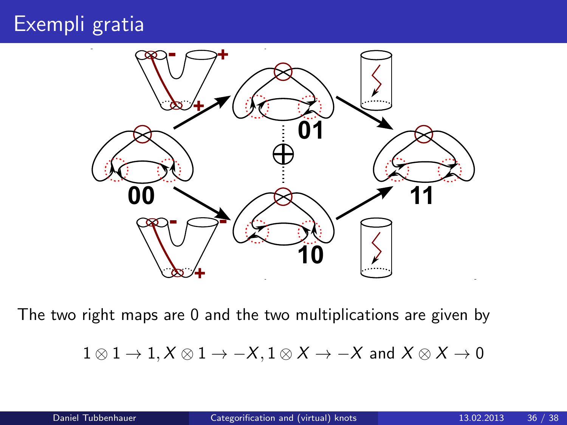

The two right maps are 0 and the two multiplications are given by

$$
1\otimes 1\to 1, X\otimes 1\to -X, 1\otimes X\to -X \text{ and } X\otimes X\to 0
$$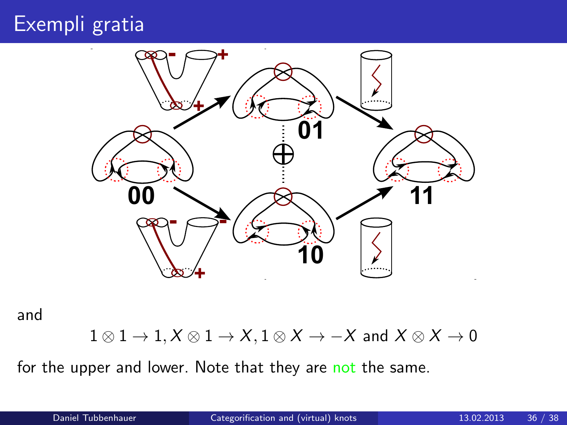

and

 $1 \otimes 1 \to 1, X \otimes 1 \to X, 1 \otimes X \to -X$  and  $X \otimes X \to 0$ 

for the upper and lower. Note that they are not the same.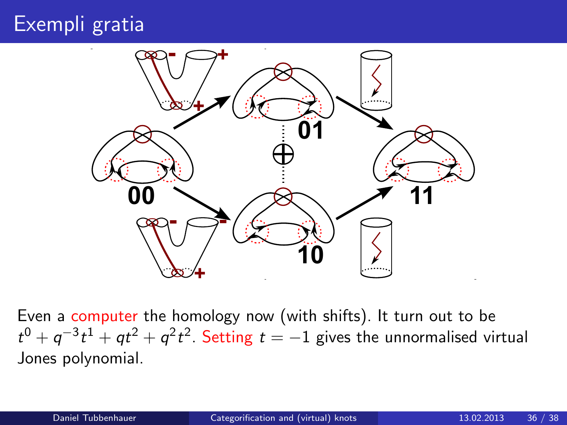

Even a computer the homology now (with shifts). It turn out to be  $t^0 + q^{-3}t^1 + qt^2 + q^2t^2$ . Setting  $t = -1$  gives the unnormalised virtual Jones polynomial.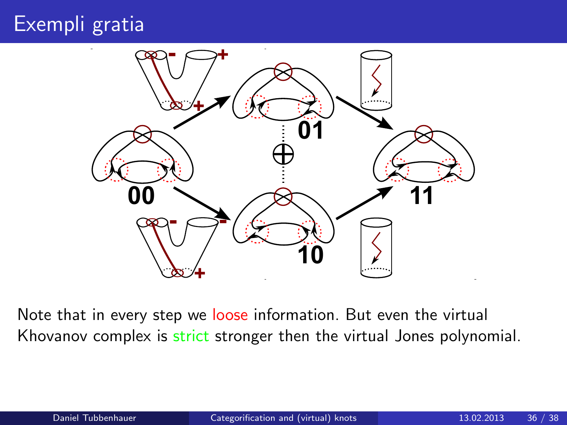

Note that in every step we loose information. But even the virtual Khovanov complex is strict stronger then the virtual Jones polynomial.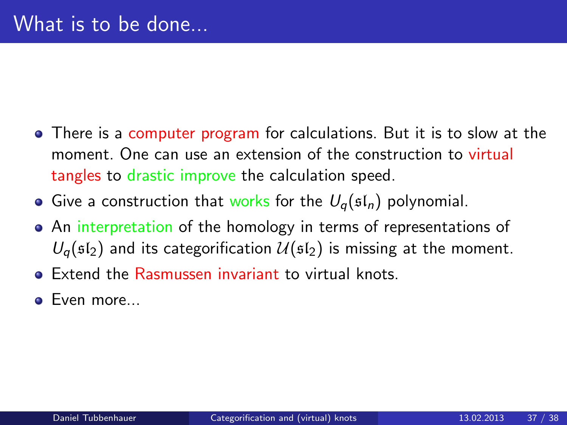- There is a computer program for calculations. But it is to slow at the moment. One can use an extension of the construction to virtual tangles to drastic improve the calculation speed.
- Give a construction that works for the  $U_q(\mathfrak{sl}_n)$  polynomial.
- An interpretation of the homology in terms of representations of  $U_q(\mathfrak{sl}_2)$  and its categorification  $\mathcal{U}(\mathfrak{sl}_2)$  is missing at the moment.
- **•** Extend the Rasmussen invariant to virtual knots.
- <span id="page-44-0"></span>• Even more...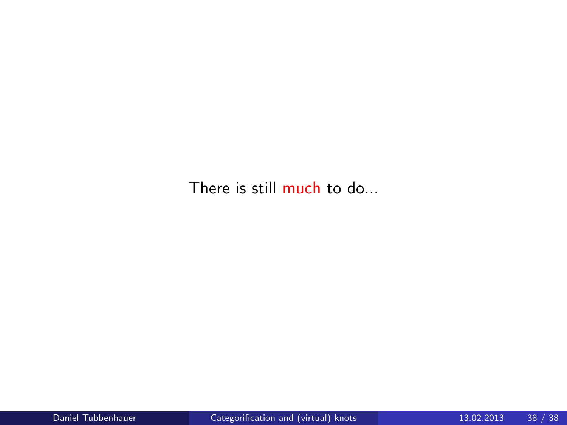There is still much to do...